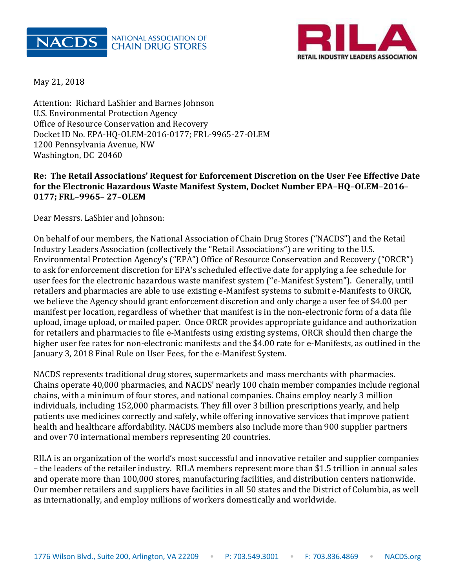



May 21, 2018

Attention: Richard LaShier and Barnes Johnson U.S. Environmental Protection Agency Office of Resource Conservation and Recovery Docket ID No. EPA-HQ-OLEM-2016-0177; FRL-9965-27-OLEM 1200 Pennsylvania Avenue, NW Washington, DC 20460

## **Re: The Retail Associations' Request for Enforcement Discretion on the User Fee Effective Date for the Electronic Hazardous Waste Manifest System, Docket Number EPA–HQ–OLEM–2016– 0177; FRL–9965– 27–OLEM**

Dear Messrs. LaShier and Johnson:

On behalf of our members, the National Association of Chain Drug Stores ("NACDS") and the Retail Industry Leaders Association (collectively the "Retail Associations") are writing to the U.S. Environmental Protection Agency's ("EPA") Office of Resource Conservation and Recovery ("ORCR") to ask for enforcement discretion for EPA's scheduled effective date for applying a fee schedule for user fees for the electronic hazardous waste manifest system ("e-Manifest System"). Generally, until retailers and pharmacies are able to use existing e-Manifest systems to submit e-Manifests to ORCR, we believe the Agency should grant enforcement discretion and only charge a user fee of \$4.00 per manifest per location, regardless of whether that manifest is in the non-electronic form of a data file upload, image upload, or mailed paper. Once ORCR provides appropriate guidance and authorization for retailers and pharmacies to file e-Manifests using existing systems, ORCR should then charge the higher user fee rates for non-electronic manifests and the \$4.00 rate for e-Manifests, as outlined in the January 3, 2018 Final Rule on User Fees, for the e-Manifest System.

NACDS represents traditional drug stores, supermarkets and mass merchants with pharmacies. Chains operate 40,000 pharmacies, and NACDS' nearly 100 chain member companies include regional chains, with a minimum of four stores, and national companies. Chains employ nearly 3 million individuals, including 152,000 pharmacists. They fill over 3 billion prescriptions yearly, and help patients use medicines correctly and safely, while offering innovative services that improve patient health and healthcare affordability. NACDS members also include more than 900 supplier partners and over 70 international members representing 20 countries.

RILA is an organization of the world's most successful and innovative retailer and supplier companies – the leaders of the retailer industry. RILA members represent more than \$1.5 trillion in annual sales and operate more than 100,000 stores, manufacturing facilities, and distribution centers nationwide. Our member retailers and suppliers have facilities in all 50 states and the District of Columbia, as well as internationally, and employ millions of workers domestically and worldwide.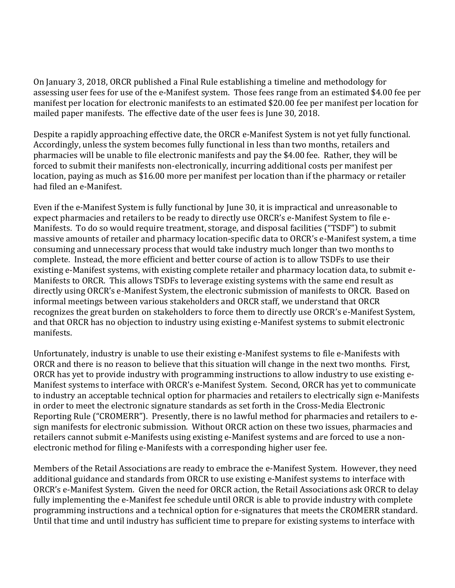On January 3, 2018, ORCR published a Final Rule establishing a timeline and methodology for assessing user fees for use of the e-Manifest system. Those fees range from an estimated \$4.00 fee per manifest per location for electronic manifests to an estimated \$20.00 fee per manifest per location for mailed paper manifests. The effective date of the user fees is June 30, 2018.

Despite a rapidly approaching effective date, the ORCR e-Manifest System is not yet fully functional. Accordingly, unless the system becomes fully functional in less than two months, retailers and pharmacies will be unable to file electronic manifests and pay the \$4.00 fee. Rather, they will be forced to submit their manifests non-electronically, incurring additional costs per manifest per location, paying as much as \$16.00 more per manifest per location than if the pharmacy or retailer had filed an e-Manifest.

Even if the e-Manifest System is fully functional by June 30, it is impractical and unreasonable to expect pharmacies and retailers to be ready to directly use ORCR's e-Manifest System to file e-Manifests. To do so would require treatment, storage, and disposal facilities ("TSDF") to submit massive amounts of retailer and pharmacy location-specific data to ORCR's e-Manifest system, a time consuming and unnecessary process that would take industry much longer than two months to complete. Instead, the more efficient and better course of action is to allow TSDFs to use their existing e-Manifest systems, with existing complete retailer and pharmacy location data, to submit e-Manifests to ORCR. This allows TSDFs to leverage existing systems with the same end result as directly using ORCR's e-Manifest System, the electronic submission of manifests to ORCR. Based on informal meetings between various stakeholders and ORCR staff, we understand that ORCR recognizes the great burden on stakeholders to force them to directly use ORCR's e-Manifest System, and that ORCR has no objection to industry using existing e-Manifest systems to submit electronic manifests.

Unfortunately, industry is unable to use their existing e-Manifest systems to file e-Manifests with ORCR and there is no reason to believe that this situation will change in the next two months. First, ORCR has yet to provide industry with programming instructions to allow industry to use existing e-Manifest systems to interface with ORCR's e-Manifest System. Second, ORCR has yet to communicate to industry an acceptable technical option for pharmacies and retailers to electrically sign e-Manifests in order to meet the electronic signature standards as set forth in the Cross-Media Electronic Reporting Rule ("CROMERR"). Presently, there is no lawful method for pharmacies and retailers to esign manifests for electronic submission. Without ORCR action on these two issues, pharmacies and retailers cannot submit e-Manifests using existing e-Manifest systems and are forced to use a nonelectronic method for filing e-Manifests with a corresponding higher user fee.

Members of the Retail Associations are ready to embrace the e-Manifest System. However, they need additional guidance and standards from ORCR to use existing e-Manifest systems to interface with ORCR's e-Manifest System. Given the need for ORCR action, the Retail Associations ask ORCR to delay fully implementing the e-Manifest fee schedule until ORCR is able to provide industry with complete programming instructions and a technical option for e-signatures that meets the CROMERR standard. Until that time and until industry has sufficient time to prepare for existing systems to interface with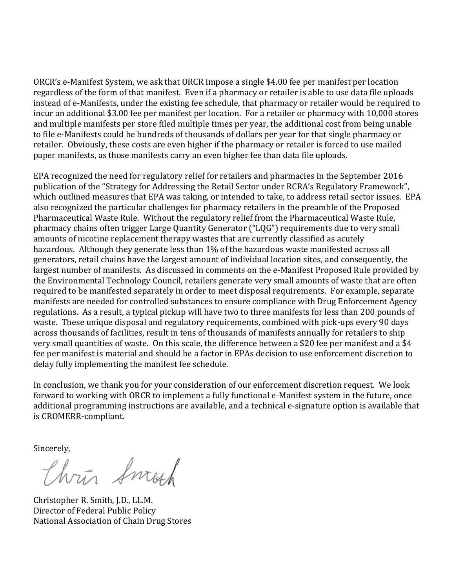ORCR's e-Manifest System, we ask that ORCR impose a single \$4.00 fee per manifest per location regardless of the form of that manifest. Even if a pharmacy or retailer is able to use data file uploads instead of e-Manifests, under the existing fee schedule, that pharmacy or retailer would be required to incur an additional \$3.00 fee per manifest per location. For a retailer or pharmacy with 10,000 stores and multiple manifests per store filed multiple times per year, the additional cost from being unable to file e-Manifests could be hundreds of thousands of dollars per year for that single pharmacy or retailer. Obviously, these costs are even higher if the pharmacy or retailer is forced to use mailed paper manifests, as those manifests carry an even higher fee than data file uploads.

EPA recognized the need for regulatory relief for retailers and pharmacies in the September 2016 publication of the "Strategy for Addressing the Retail Sector under RCRA's Regulatory Framework", which outlined measures that EPA was taking, or intended to take, to address retail sector issues. EPA also recognized the particular challenges for pharmacy retailers in the preamble of the Proposed Pharmaceutical Waste Rule. Without the regulatory relief from the Pharmaceutical Waste Rule, pharmacy chains often trigger Large Quantity Generator ("LQG") requirements due to very small amounts of nicotine replacement therapy wastes that are currently classified as acutely hazardous. Although they generate less than 1% of the hazardous waste manifested across all generators, retail chains have the largest amount of individual location sites, and consequently, the largest number of manifests. As discussed in comments on the e-Manifest Proposed Rule provided by the Environmental Technology Council, retailers generate very small amounts of waste that are often required to be manifested separately in order to meet disposal requirements. For example, separate manifests are needed for controlled substances to ensure compliance with Drug Enforcement Agency regulations. As a result, a typical pickup will have two to three manifests for less than 200 pounds of waste. These unique disposal and regulatory requirements, combined with pick-ups every 90 days across thousands of facilities, result in tens of thousands of manifests annually for retailers to ship very small quantities of waste. On this scale, the difference between a \$20 fee per manifest and a \$4 fee per manifest is material and should be a factor in EPAs decision to use enforcement discretion to delay fully implementing the manifest fee schedule.

In conclusion, we thank you for your consideration of our enforcement discretion request. We look forward to working with ORCR to implement a fully functional e-Manifest system in the future, once additional programming instructions are available, and a technical e-signature option is available that is CROMERR-compliant.

Sincerely,

Chris Swish

Christopher R. Smith, J.D., LL.M. Director of Federal Public Policy National Association of Chain Drug Stores